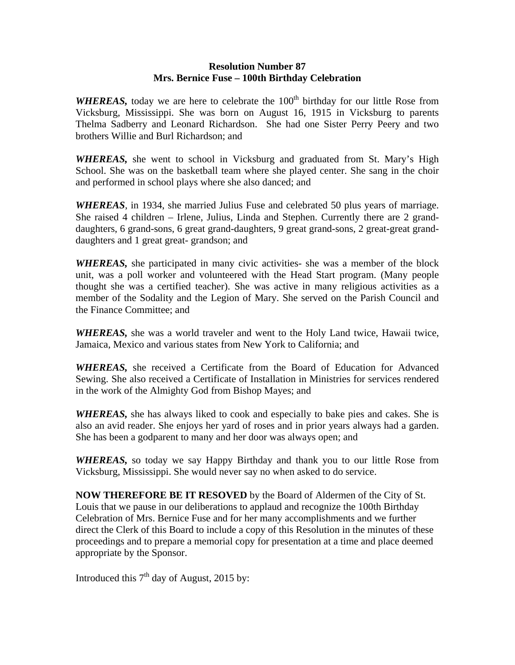## **Resolution Number 87 Mrs. Bernice Fuse – 100th Birthday Celebration**

*WHEREAS*, today we are here to celebrate the 100<sup>th</sup> birthday for our little Rose from Vicksburg, Mississippi. She was born on August 16, 1915 in Vicksburg to parents Thelma Sadberry and Leonard Richardson. She had one Sister Perry Peery and two brothers Willie and Burl Richardson; and

*WHEREAS,* she went to school in Vicksburg and graduated from St. Mary's High School. She was on the basketball team where she played center. She sang in the choir and performed in school plays where she also danced; and

*WHEREAS*, in 1934, she married Julius Fuse and celebrated 50 plus years of marriage. She raised 4 children – Irlene, Julius, Linda and Stephen. Currently there are 2 granddaughters, 6 grand-sons, 6 great grand-daughters, 9 great grand-sons, 2 great-great granddaughters and 1 great great- grandson; and

*WHEREAS,* she participated in many civic activities- she was a member of the block unit, was a poll worker and volunteered with the Head Start program. (Many people thought she was a certified teacher). She was active in many religious activities as a member of the Sodality and the Legion of Mary. She served on the Parish Council and the Finance Committee; and

*WHEREAS,* she was a world traveler and went to the Holy Land twice, Hawaii twice, Jamaica, Mexico and various states from New York to California; and

*WHEREAS,* she received a Certificate from the Board of Education for Advanced Sewing. She also received a Certificate of Installation in Ministries for services rendered in the work of the Almighty God from Bishop Mayes; and

*WHEREAS,* she has always liked to cook and especially to bake pies and cakes. She is also an avid reader. She enjoys her yard of roses and in prior years always had a garden. She has been a godparent to many and her door was always open; and

*WHEREAS,* so today we say Happy Birthday and thank you to our little Rose from Vicksburg, Mississippi. She would never say no when asked to do service.

**NOW THEREFORE BE IT RESOVED** by the Board of Aldermen of the City of St. Louis that we pause in our deliberations to applaud and recognize the 100th Birthday Celebration of Mrs. Bernice Fuse and for her many accomplishments and we further direct the Clerk of this Board to include a copy of this Resolution in the minutes of these proceedings and to prepare a memorial copy for presentation at a time and place deemed appropriate by the Sponsor.

Introduced this  $7<sup>th</sup>$  day of August, 2015 by: